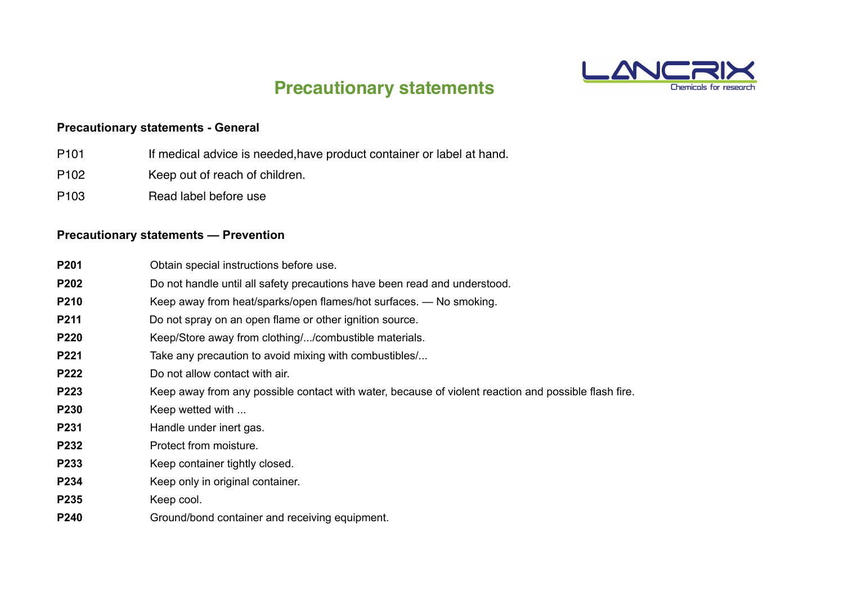

# **Precautionary statements**

# **Precautionary statements - General**

- P101 If medical advice is needed, have product container or label at hand.
- P102 Keep out of reach of children.
- P103 Read label before use

# **Precautionary statements — Prevention**

| P201        | Obtain special instructions before use.                                                              |
|-------------|------------------------------------------------------------------------------------------------------|
| P202        | Do not handle until all safety precautions have been read and understood.                            |
| P210        | Keep away from heat/sparks/open flames/hot surfaces. — No smoking.                                   |
| P211        | Do not spray on an open flame or other ignition source.                                              |
| <b>P220</b> | Keep/Store away from clothing//combustible materials.                                                |
| P221        | Take any precaution to avoid mixing with combustibles                                                |
| P222        | Do not allow contact with air.                                                                       |
| P223        | Keep away from any possible contact with water, because of violent reaction and possible flash fire. |
| P230        | Keep wetted with                                                                                     |
| P231        | Handle under inert gas.                                                                              |
| P232        | Protect from moisture.                                                                               |
| P233        | Keep container tightly closed.                                                                       |
| P234        | Keep only in original container.                                                                     |
| P235        | Keep cool.                                                                                           |
| P240        | Ground/bond container and receiving equipment.                                                       |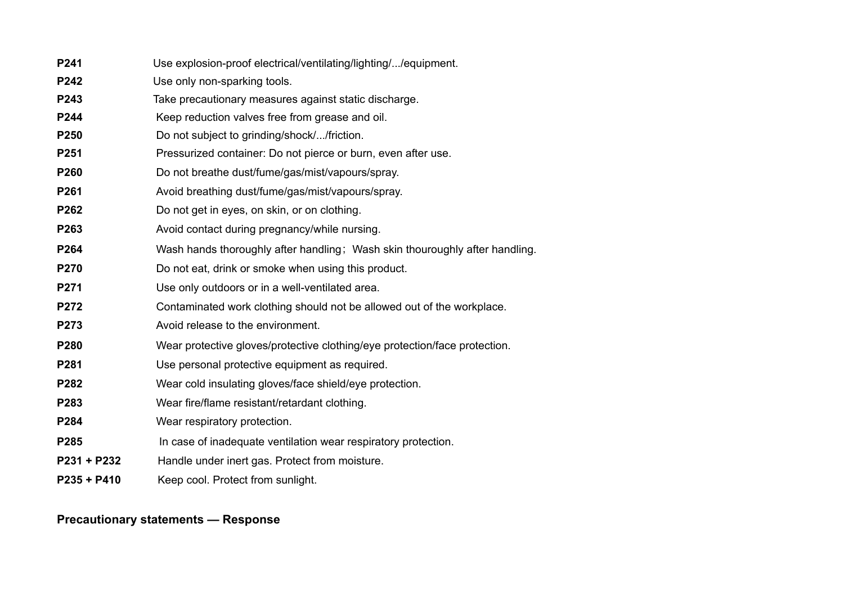| P241          | Use explosion-proof electrical/ventilating/lighting//equipment.             |
|---------------|-----------------------------------------------------------------------------|
| P242          | Use only non-sparking tools.                                                |
| P243          | Take precautionary measures against static discharge.                       |
| P244          | Keep reduction valves free from grease and oil.                             |
| P250          | Do not subject to grinding/shock//friction.                                 |
| P251          | Pressurized container: Do not pierce or burn, even after use.               |
| P260          | Do not breathe dust/fume/gas/mist/vapours/spray.                            |
| P261          | Avoid breathing dust/fume/gas/mist/vapours/spray.                           |
| P262          | Do not get in eyes, on skin, or on clothing.                                |
| P263          | Avoid contact during pregnancy/while nursing.                               |
| P264          | Wash hands thoroughly after handling; Wash skin thouroughly after handling. |
| P270          | Do not eat, drink or smoke when using this product.                         |
| P271          | Use only outdoors or in a well-ventilated area.                             |
| P272          | Contaminated work clothing should not be allowed out of the workplace.      |
| P273          | Avoid release to the environment.                                           |
| P280          | Wear protective gloves/protective clothing/eye protection/face protection.  |
| P281          | Use personal protective equipment as required.                              |
| P282          | Wear cold insulating gloves/face shield/eye protection.                     |
| P283          | Wear fire/flame resistant/retardant clothing.                               |
| P284          | Wear respiratory protection.                                                |
| P285          | In case of inadequate ventilation wear respiratory protection.              |
| P231 + P232   | Handle under inert gas. Protect from moisture.                              |
| $P235 + P410$ | Keep cool. Protect from sunlight.                                           |

# **Precautionary statements — Response**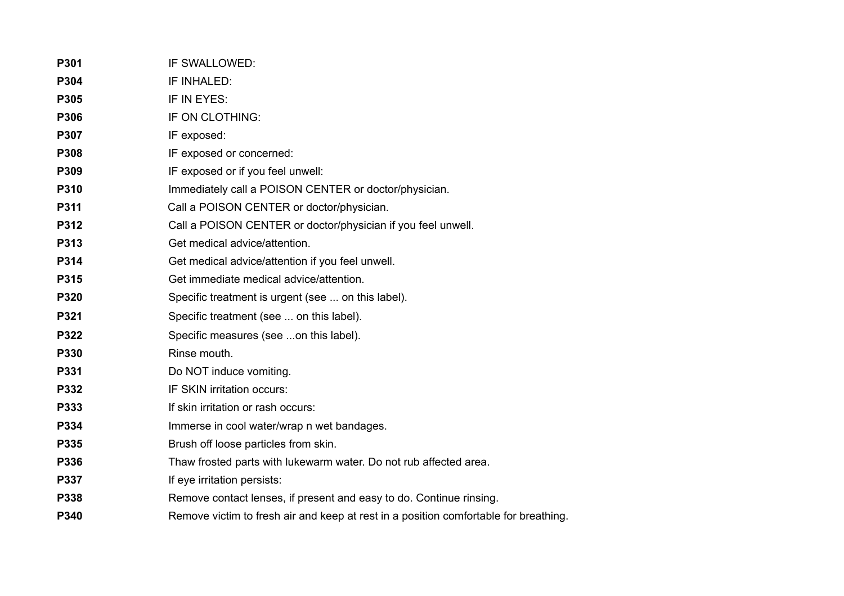| P301 | IF SWALLOWED:                                                                        |
|------|--------------------------------------------------------------------------------------|
| P304 | IF INHALED:                                                                          |
| P305 | IF IN EYES:                                                                          |
| P306 | IF ON CLOTHING:                                                                      |
| P307 | IF exposed:                                                                          |
| P308 | IF exposed or concerned:                                                             |
| P309 | IF exposed or if you feel unwell:                                                    |
| P310 | Immediately call a POISON CENTER or doctor/physician.                                |
| P311 | Call a POISON CENTER or doctor/physician.                                            |
| P312 | Call a POISON CENTER or doctor/physician if you feel unwell.                         |
| P313 | Get medical advice/attention.                                                        |
| P314 | Get medical advice/attention if you feel unwell.                                     |
| P315 | Get immediate medical advice/attention.                                              |
| P320 | Specific treatment is urgent (see  on this label).                                   |
| P321 | Specific treatment (see  on this label).                                             |
| P322 | Specific measures (see on this label).                                               |
| P330 | Rinse mouth.                                                                         |
| P331 | Do NOT induce vomiting.                                                              |
| P332 | IF SKIN irritation occurs:                                                           |
| P333 | If skin irritation or rash occurs:                                                   |
| P334 | Immerse in cool water/wrap n wet bandages.                                           |
| P335 | Brush off loose particles from skin.                                                 |
| P336 | Thaw frosted parts with lukewarm water. Do not rub affected area.                    |
| P337 | If eye irritation persists:                                                          |
| P338 | Remove contact lenses, if present and easy to do. Continue rinsing.                  |
| P340 | Remove victim to fresh air and keep at rest in a position comfortable for breathing. |
|      |                                                                                      |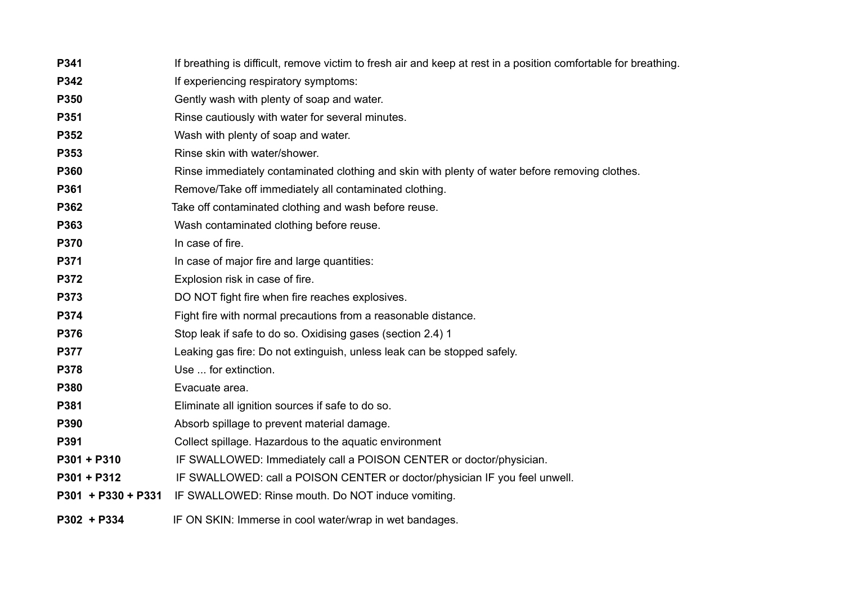| P341                 | If breathing is difficult, remove victim to fresh air and keep at rest in a position comfortable for breathing. |  |
|----------------------|-----------------------------------------------------------------------------------------------------------------|--|
| P342                 | If experiencing respiratory symptoms:                                                                           |  |
| P350                 | Gently wash with plenty of soap and water.                                                                      |  |
| P351                 | Rinse cautiously with water for several minutes.                                                                |  |
| P352                 | Wash with plenty of soap and water.                                                                             |  |
| P353                 | Rinse skin with water/shower.                                                                                   |  |
| P360                 | Rinse immediately contaminated clothing and skin with plenty of water before removing clothes.                  |  |
| P361                 | Remove/Take off immediately all contaminated clothing.                                                          |  |
| P362                 | Take off contaminated clothing and wash before reuse.                                                           |  |
| P363                 | Wash contaminated clothing before reuse.                                                                        |  |
| <b>P370</b>          | In case of fire.                                                                                                |  |
| P371                 | In case of major fire and large quantities:                                                                     |  |
| P372                 | Explosion risk in case of fire.                                                                                 |  |
| P373                 | DO NOT fight fire when fire reaches explosives.                                                                 |  |
| P374                 | Fight fire with normal precautions from a reasonable distance.                                                  |  |
| P376                 | Stop leak if safe to do so. Oxidising gases (section 2.4) 1                                                     |  |
| P377                 | Leaking gas fire: Do not extinguish, unless leak can be stopped safely.                                         |  |
| P378                 | Use  for extinction.                                                                                            |  |
| P380                 | Evacuate area.                                                                                                  |  |
| P381                 | Eliminate all ignition sources if safe to do so.                                                                |  |
| P390                 | Absorb spillage to prevent material damage.                                                                     |  |
| P391                 | Collect spillage. Hazardous to the aquatic environment                                                          |  |
| $P301 + P310$        | IF SWALLOWED: Immediately call a POISON CENTER or doctor/physician.                                             |  |
| $P301 + P312$        | IF SWALLOWED: call a POISON CENTER or doctor/physician IF you feel unwell.                                      |  |
| $P301 + P330 + P331$ | IF SWALLOWED: Rinse mouth. Do NOT induce vomiting.                                                              |  |
| $P302 + P334$        | IF ON SKIN: Immerse in cool water/wrap in wet bandages.                                                         |  |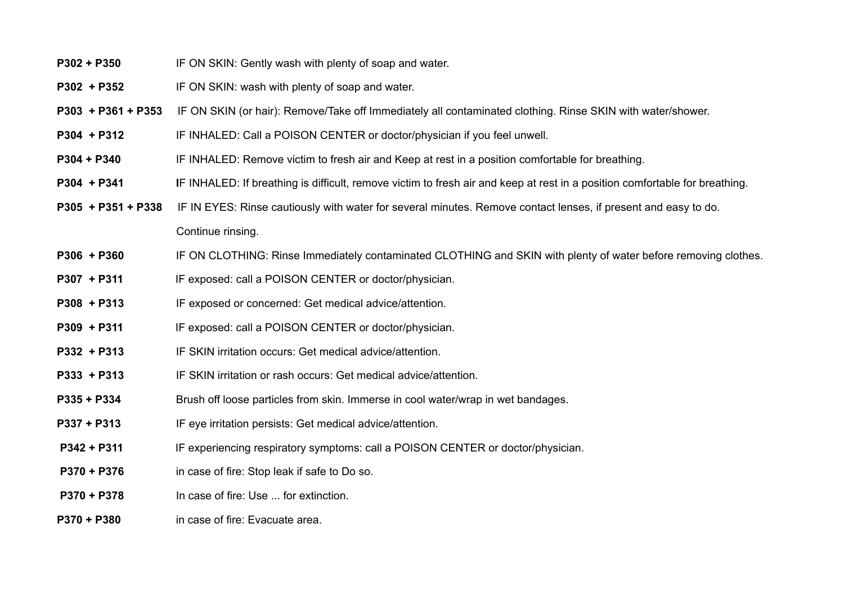- **P302 + P350** IF ON SKIN: Gently wash with plenty of soap and water.
- **P302 + P352** IF ON SKIN: wash with plenty of soap and water.
- **P303 + P361 + P353** IF ON SKIN (or hair): Remove/Take off Immediately all contaminated clothing. Rinse SKIN with water/shower.
- **P304 + P312** IF INHALED: Call a POISON CENTER or doctor/physician if you feel unwell.
- **P304 + P340** IF INHALED: Remove victim to fresh air and Keep at rest in a position comfortable for breathing.
- **P304 + P341 I**F INHALED: If breathing is difficult, remove victim to fresh air and keep at rest in a position comfortable for breathing.
- **P305 + P351 + P338** IF IN EYES: Rinse cautiously with water for several minutes. Remove contact lenses, if present and easy to do. Continue rinsing.
- **P306 + P360** IF ON CLOTHING: Rinse Immediately contaminated CLOTHING and SKIN with plenty of water before removing clothes.
- **P307 + P311** IF exposed: call a POISON CENTER or doctor/physician.
- **P308 + P313** IF exposed or concerned: Get medical advice/attention.
- **P309 + P311** IF exposed: call a POISON CENTER or doctor/physician.
- **P332 + P313** IF SKIN irritation occurs: Get medical advice/attention.
- **P333 + P313** IF SKIN irritation or rash occurs: Get medical advice/attention.
- **P335 + P334** Brush off loose particles from skin. Immerse in cool water/wrap in wet bandages.
- **P337 + P313** IF eye irritation persists: Get medical advice/attention.
- **P342 + P311** IF experiencing respiratory symptoms: call a POISON CENTER or doctor/physician.
- **P370 + P376** in case of fire: Stop leak if safe to Do so.
- **P370 + P378** In case of fire: Use ... for extinction.
- **P370 + P380** in case of fire: Evacuate area.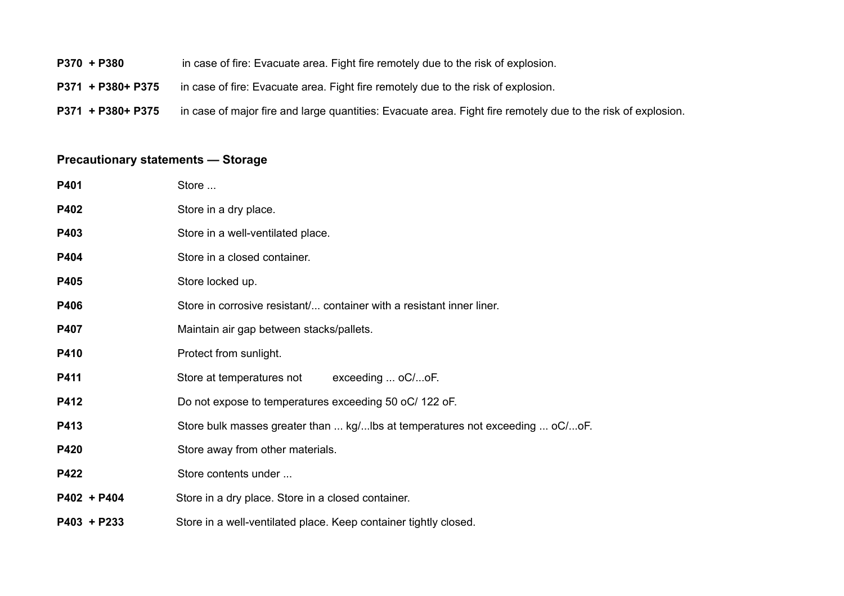- **P370 + P380** in case of fire: Evacuate area. Fight fire remotely due to the risk of explosion.
- **P371 + P380+ P375** in case of fire: Evacuate area. Fight fire remotely due to the risk of explosion.
- **P371 + P380+ P375** in case of major fire and large quantities: Evacuate area. Fight fire remotely due to the risk of explosion.

### **Precautionary statements — Storage**

| P401          | Store                                                                        |
|---------------|------------------------------------------------------------------------------|
| P402          | Store in a dry place.                                                        |
| P403          | Store in a well-ventilated place.                                            |
| P404          | Store in a closed container.                                                 |
| P405          | Store locked up.                                                             |
| P406          | Store in corrosive resistant container with a resistant inner liner.         |
| P407          | Maintain air gap between stacks/pallets.                                     |
| P410          | Protect from sunlight.                                                       |
| P411          | exceeding  oC/oF.<br>Store at temperatures not                               |
| P412          | Do not expose to temperatures exceeding 50 oC/ 122 oF.                       |
| P413          | Store bulk masses greater than  kg/lbs at temperatures not exceeding  oC/oF. |
| P420          | Store away from other materials.                                             |
| P422          | Store contents under                                                         |
| $P402 + P404$ | Store in a dry place. Store in a closed container.                           |
| $P403 + P233$ | Store in a well-ventilated place. Keep container tightly closed.             |